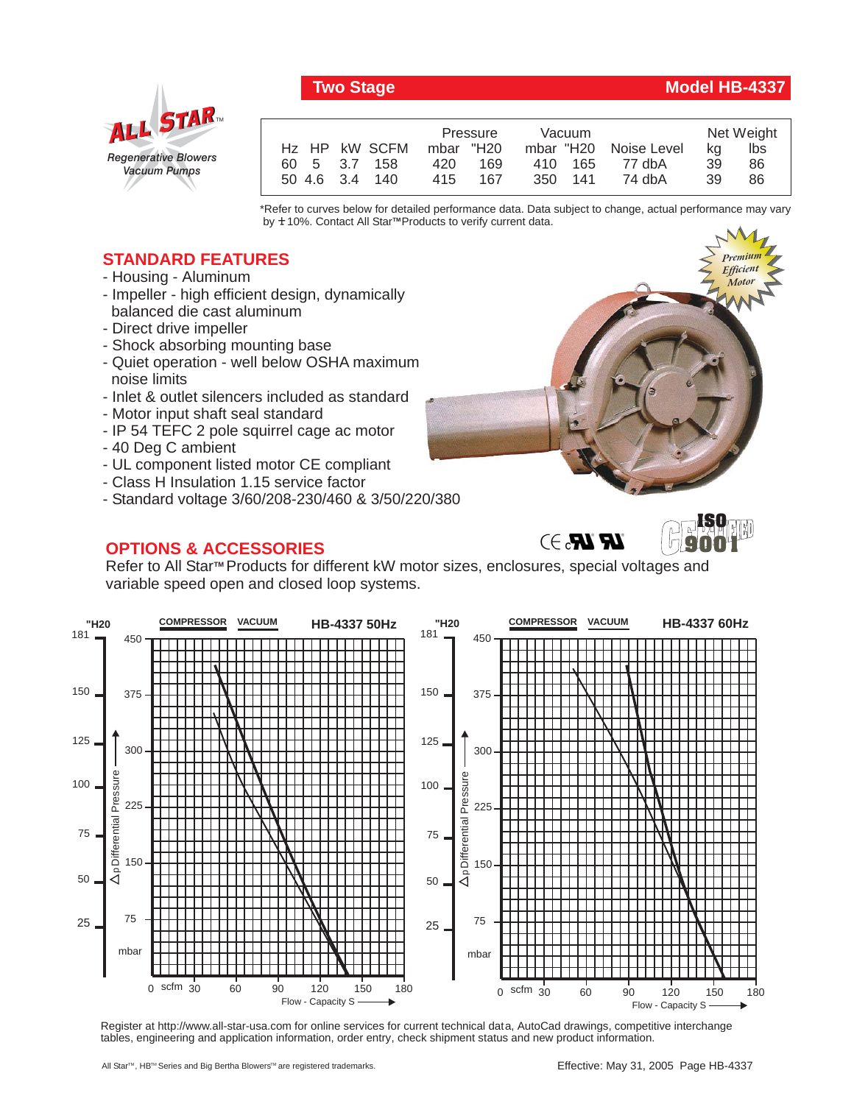# *Regenerative Blowers Vacuum Pumps* ALL STAR

|                | Pressure   | Vacuum  |                       |    | Net Weight |
|----------------|------------|---------|-----------------------|----|------------|
| Hz HP kW SCFM  | mbar "H20  |         | mbar "H20 Noise Level | ka | lbs        |
| 60 5 3.7 158   | 169<br>420 | 410 165 | 77 dbA                | 39 | 86         |
| 50 4.6 3.4 140 | 167<br>415 | 350 141 | 74 dbA                | 39 | 86         |

\*Refer to curves below for detailed performance data. Data subject to change, actual performance may vary by **+** 10%. Contact All Star™Products to verify current data.

## **STANDARD FEATURES**

- Housing Aluminum
- Impeller high efficient design, dynamically balanced die cast aluminum
- Direct drive impeller
- Shock absorbing mounting base
- Quiet operation well below OSHA maximum noise limits
- Inlet & outlet silencers included as standard
- Motor input shaft seal standard
- IP 54 TEFC 2 pole squirrel cage ac motor
- 40 Deg C ambient
- UL component listed motor CE compliant
- Class H Insulation 1.15 service factor
- Standard voltage 3/60/208-230/460 & 3/50/220/380

# **OPTIONS & ACCESSORIES**

Refer to All Star™ Products for different kW motor sizes, enclosures, special voltages and variable speed open and closed loop systems.



Register at http://www.all-star-usa.com for online services for current technical data, AutoCad drawings, competitive interchange tables, engineering and application information, order entry, check shipment status and new product information.

## **Two Stage Model HB-4337**

*Premium Efficient Motor*

*Premium Efficient Motor*